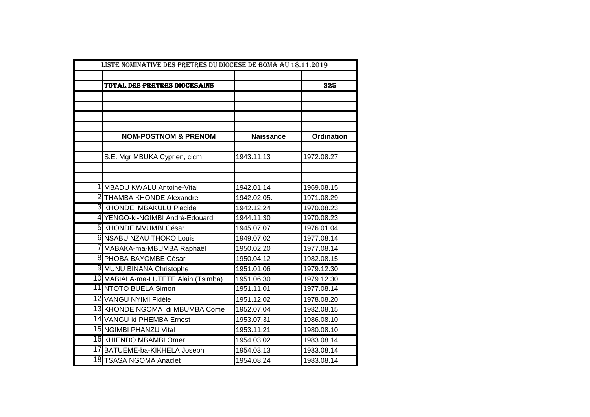| LISTE NOMINATIVE DES PRETRES DU DIOCESE DE BOMA AU 18.11.2019 |                                     |                  |                   |
|---------------------------------------------------------------|-------------------------------------|------------------|-------------------|
|                                                               |                                     |                  |                   |
|                                                               | TOTAL DES PRETRES DIOCESAINS        |                  | 325               |
|                                                               |                                     |                  |                   |
|                                                               |                                     |                  |                   |
|                                                               |                                     |                  |                   |
|                                                               | <b>NOM-POSTNOM &amp; PRENOM</b>     | <b>Naissance</b> | <b>Ordination</b> |
|                                                               |                                     |                  |                   |
|                                                               | S.E. Mgr MBUKA Cyprien, cicm        | 1943.11.13       | 1972.08.27        |
|                                                               |                                     |                  |                   |
|                                                               |                                     |                  |                   |
|                                                               | 1 MBADU KWALU Antoine-Vital         | 1942.01.14       | 1969.08.15        |
|                                                               | 2 THAMBA KHONDE Alexandre           | 1942.02.05.      | 1971.08.29        |
|                                                               | <b>3 KHONDE MBAKULU Placide</b>     | 1942.12.24       | 1970.08.23        |
|                                                               | 4 YENGO-ki-NGIMBI André-Edouard     | 1944.11.30       | 1970.08.23        |
|                                                               | 5 KHONDE MVUMBI César               | 1945.07.07       | 1976.01.04        |
|                                                               | <b>6 NSABU NZAU THOKO Louis</b>     | 1949.07.02       | 1977.08.14        |
|                                                               | 7 MABAKA-ma-MBUMBA Raphaël          | 1950.02.20       | 1977.08.14        |
|                                                               | 8 PHOBA BAYOMBE César               | 1950.04.12       | 1982.08.15        |
|                                                               | 9 MUNU BINANA Christophe            | 1951.01.06       | 1979.12.30        |
|                                                               | 10 MABIALA-ma-LUTETE Alain (Tsimba) | 1951.06.30       | 1979.12.30        |
|                                                               | <b>11 NTOTO BUELA Simon</b>         | 1951.11.01       | 1977.08.14        |
|                                                               | 12 VANGU NYIMI Fidèle               | 1951.12.02       | 1978.08.20        |
|                                                               | 13 KHONDE NGOMA di MBUMBA Côme      | 1952.07.04       | 1982.08.15        |
|                                                               | 14 VANGU-ki-PHEMBA Ernest           | 1953.07.31       | 1986.08.10        |
|                                                               | 15 NGIMBI PHANZU Vital              | 1953.11.21       | 1980.08.10        |
|                                                               | 16 KHIENDO MBAMBI Omer              | 1954.03.02       | 1983.08.14        |
|                                                               | 17 BATUEME-ba-KIKHELA Joseph        | 1954.03.13       | 1983.08.14        |
|                                                               | 18 TSASA NGOMA Anaclet              | 1954.08.24       | 1983.08.14        |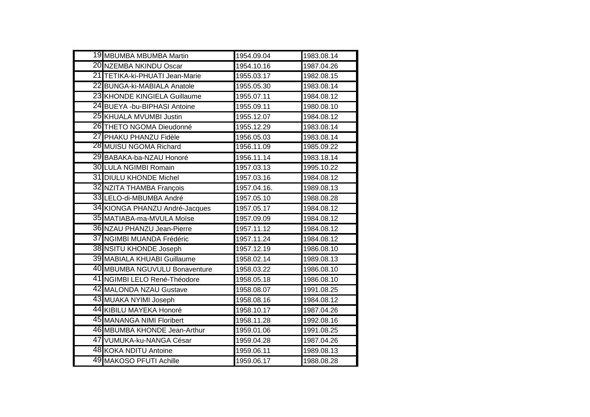| 19 MBUMBA MBUMBA Martin        | 1954.09.04  | 1983.08.14 |
|--------------------------------|-------------|------------|
| 20 NZEMBA NKINDU Oscar         | 1954.10.16  | 1987.04.26 |
| 21 TETIKA-ki-PHUATI Jean-Marie | 1955.03.17  | 1982.08.15 |
| 22 BUNGA-ki-MABIALA Anatole    | 1955.05.30  | 1983.08.14 |
| 23 KHONDE KINGIELA Guillaume   | 1955.07.11  | 1984.08.12 |
| 24 BUEYA -bu-BIPHASI Antoine   | 1955.09.11  | 1980.08.10 |
| 25 KHUALA MVUMBI Justin        | 1955.12.07  | 1984.08.12 |
| 26 THETO NGOMA Dieudonné       | 1955.12.29  | 1983.08.14 |
| 27 PHAKU PHANZU Fidèle         | 1956.05.03  | 1983.08.14 |
| 28 MUISU NGOMA Richard         | 1956.11.09  | 1985.09.22 |
| 29 BABAKA-ba-NZAU Honoré       | 1956.11.14  | 1983.18.14 |
| 30 LULA NGIMBI Romain          | 1957.03.13  | 1995.10.22 |
| 31 DIULU KHONDE Michel         | 1957.03.16  | 1984.08.12 |
| 32 NZITA THAMBA François       | 1957.04.16. | 1989.08.13 |
| 33 LELO-di-MBUMBA André        | 1957.05.10  | 1988.08.28 |
| 34 KIONGA PHANZU André-Jacques | 1957.05.17  | 1984.08.12 |
| 35 MATIABA-ma-MVULA Moïse      | 1957.09.09  | 1984.08.12 |
| 36 NZAU PHANZU Jean-Pierre     | 1957.11.12  | 1984.08.12 |
| 37 NGIMBI MUANDA Frédéric      | 1957.11.24  | 1984.08.12 |
| 38 NSITU KHONDE Joseph         | 1957.12.19  | 1986.08.10 |
| 39 MABIALA KHUABI Guillaume    | 1958.02.14  | 1989.08.13 |
| 40 MBUMBA NGUVULU Bonaventure  | 1958.03.22  | 1986.08.10 |
| 41 NGIMBI LELO René-Théodore   | 1958.05.18  | 1986.08.10 |
| 42 MALONDA NZAU Gustave        | 1958.08.07  | 1991.08.25 |
| 43 MUAKA NYIMI Joseph          | 1958.08.16  | 1984.08.12 |
| 44 KIBILU MAYEKA Honoré        | 1958.10.17  | 1987.04.26 |
| 45 MANANGA NIMI Floribert      | 1958.11.28  | 1992.08.16 |
| 46 MBUMBA KHONDE Jean-Arthur   | 1959.01.06  | 1991.08.25 |
| 47 VUMUKA-ku-NANGA César       | 1959.04.28  | 1987.04.26 |
| 48 KOKA NDITU Antoine          | 1959.06.11  | 1989.08.13 |
| 49 MAKOSO PFUTI Achille        | 1959.06.17  | 1988.08.28 |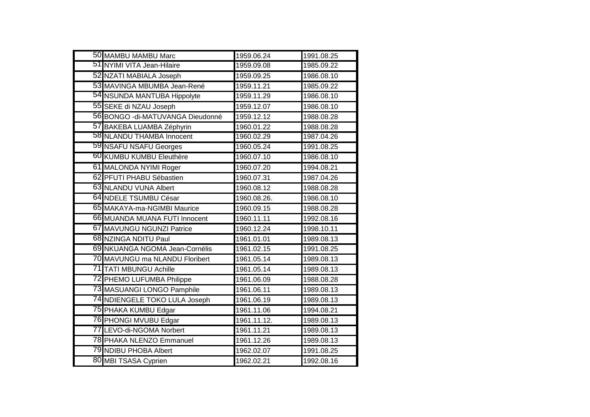| 50 MAMBU MAMBU Marc               | 1959.06.24  | 1991.08.25 |
|-----------------------------------|-------------|------------|
| 51 NYIMI VITA Jean-Hilaire        | 1959.09.08  | 1985.09.22 |
| 52 NZATI MABIALA Joseph           | 1959.09.25  | 1986.08.10 |
| 53 MAVINGA MBUMBA Jean-René       | 1959.11.21  | 1985.09.22 |
| 54 NSUNDA MANTUBA Hippolyte       | 1959.11.29  | 1986.08.10 |
| 55 SEKE di NZAU Joseph            | 1959.12.07  | 1986.08.10 |
| 56 BONGO - di-MATUVANGA Dieudonné | 1959.12.12  | 1988.08.28 |
| 57 BAKEBA LUAMBA Zéphyrin         | 1960.01.22  | 1988.08.28 |
| 58 NLANDU THAMBA Innocent         | 1960.02.29  | 1987.04.26 |
| 59 NSAFU NSAFU Georges            | 1960.05.24  | 1991.08.25 |
| 60 KUMBU KUMBU Eleuthère          | 1960.07.10  | 1986.08.10 |
| 61 MALONDA NYIMI Roger            | 1960.07.20  | 1994.08.21 |
| 62 PFUTI PHABU Sébastien          | 1960.07.31  | 1987.04.26 |
| 63 NLANDU VUNA Albert             | 1960.08.12  | 1988.08.28 |
| 64 NDELE TSUMBU César             | 1960.08.26. | 1986.08.10 |
| 65 MAKAYA-ma-NGIMBI Maurice       | 1960.09.15  | 1988.08.28 |
| 66 MUANDA MUANA FUTI Innocent     | 1960.11.11  | 1992.08.16 |
| 67 MAVUNGU NGUNZI Patrice         | 1960.12.24  | 1998.10.11 |
| 68 NZINGA NDITU Paul              | 1961.01.01  | 1989.08.13 |
| 69 NKUANGA NGOMA Jean-Cornélis    | 1961.02.15  | 1991.08.25 |
| 70 MAVUNGU ma NLANDU Floribert    | 1961.05.14  | 1989.08.13 |
| 71 TATI MBUNGU Achille            | 1961.05.14  | 1989.08.13 |
| 72 PHEMO LUFUMBA Philippe         | 1961.06.09  | 1988.08.28 |
| 73 MASUANGI LONGO Pamphile        | 1961.06.11  | 1989.08.13 |
| 74 NDIENGELE TOKO LULA Joseph     | 1961.06.19  | 1989.08.13 |
| 75 PHAKA KUMBU Edgar              | 1961.11.06  | 1994.08.21 |
| 76 PHONGI MVUBU Edgar             | 1961.11.12. | 1989.08.13 |
| 77 LEVO-di-NGOMA Norbert          | 1961.11.21  | 1989.08.13 |
| 78 PHAKA NLENZO Emmanuel          | 1961.12.26  | 1989.08.13 |
| 79 NDIBU PHOBA Albert             | 1962.02.07  | 1991.08.25 |
| 80 MBI TSASA Cyprien              | 1962.02.21  | 1992.08.16 |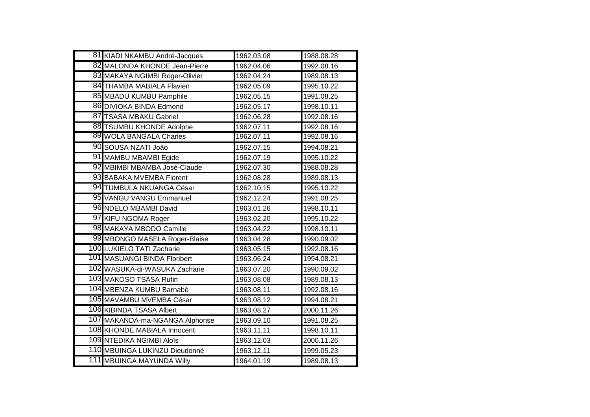| 81 KIADI NKAMBU André-Jacques  | 1962.03.08 | 1988.08.28 |
|--------------------------------|------------|------------|
| 82 MALONDA KHONDE Jean-Pierre  | 1962.04.06 | 1992.08.16 |
| 83 MAKAYA NGIMBI Roger-Olivier | 1962.04.24 | 1989.08.13 |
| 84 THAMBA MABIALA Flavien      | 1962.05.09 | 1995.10.22 |
| 85 MBADU KUMBU Pamphile        | 1962.05.15 | 1991.08.25 |
| 86 DIVIOKA BINDA Edmond        | 1962.05.17 | 1998.10.11 |
| 87 TSASA MBAKU Gabriel         | 1962.06.28 | 1992.08.16 |
| 88 TSUMBU KHONDE Adolphe       | 1962.07.11 | 1992.08.16 |
| 89 WOLA BANGALA Charles        | 1962.07.11 | 1992.08.16 |
| 90 SOUSA NZATI Joâo            | 1962.07.15 | 1994.08.21 |
| 91 MAMBU MBAMBI Egide          | 1962.07.19 | 1995.10.22 |
| 92 MBIMBI MBAMBA José-Claude   | 1962.07.30 | 1988.08.28 |
| 93 BABAKA MVEMBA Florent       | 1962.08.28 | 1989.08.13 |
| 94 TUMBULA NKUANGA César       | 1962.10.15 | 1995.10.22 |
| 95 VANGU VANGU Emmanuel        | 1962.12.24 | 1991.08.25 |
| 96 NDELO MBAMBI David          | 1963.01.26 | 1998.10.11 |
| 97 KIFU NGOMA Roger            | 1963.02.20 | 1995.10.22 |
| 98 MAKAYA MBODO Camille        | 1963.04.22 | 1998.10.11 |
| 99 MBONGO MASELA Roger-Blaise  | 1963.04.28 | 1990.09.02 |
| 100 LUKIELO TATI Zacharie      | 1963.05.15 | 1992.08.16 |
| 101 MASUANGI BINDA Floribert   | 1963.06.24 | 1994.08.21 |
| 102 WASUKA-di-WASUKA Zacharie  | 1963.07.20 | 1990.09.02 |
| 103 MAKOSO TSASA Rufin         | 1963.08.08 | 1989.08.13 |
| 104 MBENZA KUMBU Barnabé       | 1963.08.11 | 1992.08.16 |
| 105 MAVAMBU MVEMBA César       | 1963.08.12 | 1994.08.21 |
| 106 KIBINDA TSASA Albert       | 1963.08.27 | 2000.11.26 |
| 107 MAKANDA-ma-NGANGA Alphonse | 1963.09.10 | 1991.08.25 |
| 108 KHONDE MABIALA Innocent    | 1963.11.11 | 1998.10.11 |
| 109 NTEDIKA NGIMBI Aloïs       | 1963.12.03 | 2000.11.26 |
| 110 MBUINGA LUKINZU Dieudonné  | 1963.12.11 | 1999.05.23 |
| 111 MBUINGA MAYUNDA Willy      | 1964.01.19 | 1989.08.13 |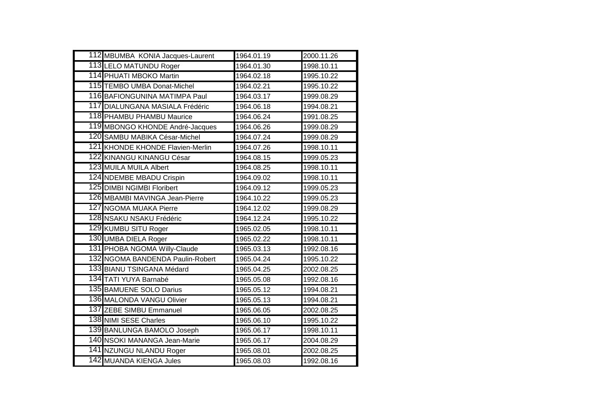| 112 MBUMBA KONIA Jacques-Laurent | 1964.01.19 | 2000.11.26 |
|----------------------------------|------------|------------|
| 113 LELO MATUNDU Roger           | 1964.01.30 | 1998.10.11 |
| 114 PHUATI MBOKO Martin          | 1964.02.18 | 1995.10.22 |
| 115 TEMBO UMBA Donat-Michel      | 1964.02.21 | 1995.10.22 |
| 116 BAFIONGUNINA MATIMPA Paul    | 1964.03.17 | 1999.08.29 |
| 117 DIALUNGANA MASIALA Frédéric  | 1964.06.18 | 1994.08.21 |
| 118 PHAMBU PHAMBU Maurice        | 1964.06.24 | 1991.08.25 |
| 119 MBONGO KHONDE André-Jacques  | 1964.06.26 | 1999.08.29 |
| 120 SAMBU MABIKA César-Michel    | 1964.07.24 | 1999.08.29 |
| 121 KHONDE KHONDE Flavien-Merlin | 1964.07.26 | 1998.10.11 |
| 122 KINANGU KINANGU César        | 1964.08.15 | 1999.05.23 |
| 123 MUILA MUILA Albert           | 1964.08.25 | 1998.10.11 |
| 124 NDEMBE MBADU Crispin         | 1964.09.02 | 1998.10.11 |
| 125 DIMBI NGIMBI Floribert       | 1964.09.12 | 1999.05.23 |
| 126 MBAMBI MAVINGA Jean-Pierre   | 1964.10.22 | 1999.05.23 |
| 127 NGOMA MUAKA Pierre           | 1964.12.02 | 1999.08.29 |
| 128 NSAKU NSAKU Frédéric         | 1964.12.24 | 1995.10.22 |
| 129 KUMBU SITU Roger             | 1965.02.05 | 1998.10.11 |
| 130 UMBA DIELA Roger             | 1965.02.22 | 1998.10.11 |
| 131 PHOBA NGOMA Willy-Claude     | 1965.03.13 | 1992.08.16 |
| 132 NGOMA BANDENDA Paulin-Robert | 1965.04.24 | 1995.10.22 |
| 133 BIANU TSINGANA Médard        | 1965.04.25 | 2002.08.25 |
| 134 TATI YUYA Barnabé            | 1965.05.08 | 1992.08.16 |
| 135 BAMUENE SOLO Darius          | 1965.05.12 | 1994.08.21 |
| 136 MALONDA VANGU Olivier        | 1965.05.13 | 1994.08.21 |
| 137 ZEBE SIMBU Emmanuel          | 1965.06.05 | 2002.08.25 |
| 138 NIMI SESE Charles            | 1965.06.10 | 1995.10.22 |
| 139 BANLUNGA BAMOLO Joseph       | 1965.06.17 | 1998.10.11 |
| 140 NSOKI MANANGA Jean-Marie     | 1965.06.17 | 2004.08.29 |
| 141 NZUNGU NLANDU Roger          | 1965.08.01 | 2002.08.25 |
| 142 MUANDA KIENGA Jules          | 1965.08.03 | 1992.08.16 |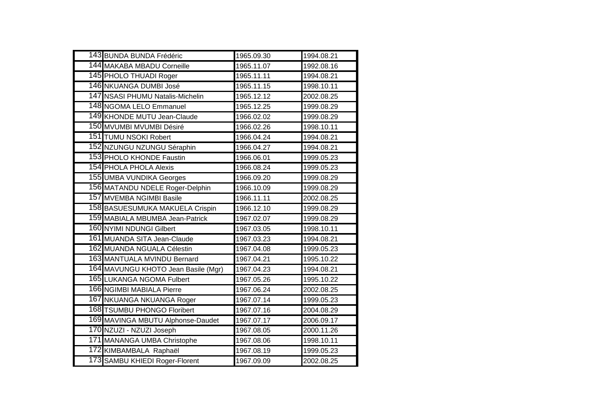| 143 BUNDA BUNDA Frédéric            | 1965.09.30 | 1994.08.21 |
|-------------------------------------|------------|------------|
| 144 MAKABA MBADU Corneille          | 1965.11.07 | 1992.08.16 |
| 145 PHOLO THUADI Roger              | 1965.11.11 | 1994.08.21 |
| 146 NKUANGA DUMBI José              | 1965.11.15 | 1998.10.11 |
| 147 NSASI PHUMU Natalis-Michelin    | 1965.12.12 | 2002.08.25 |
| 148 NGOMA LELO Emmanuel             | 1965.12.25 | 1999.08.29 |
| 149 KHONDE MUTU Jean-Claude         | 1966.02.02 | 1999.08.29 |
| 150 MVUMBI MVUMBI Désiré            | 1966.02.26 | 1998.10.11 |
| 151 TUMU NSOKI Robert               | 1966.04.24 | 1994.08.21 |
| 152 NZUNGU NZUNGU Séraphin          | 1966.04.27 | 1994.08.21 |
| 153 PHOLO KHONDE Faustin            | 1966.06.01 | 1999.05.23 |
| <b>154 PHOLA PHOLA Alexis</b>       | 1966.08.24 | 1999.05.23 |
| 155 UMBA VUNDIKA Georges            | 1966.09.20 | 1999.08.29 |
| 156 MATANDU NDELE Roger-Delphin     | 1966.10.09 | 1999.08.29 |
| 157 MVEMBA NGIMBI Basile            | 1966.11.11 | 2002.08.25 |
| 158 BASUESUMUKA MAKUELA Crispin     | 1966.12.10 | 1999.08.29 |
| 159 MABIALA MBUMBA Jean-Patrick     | 1967.02.07 | 1999.08.29 |
| 160 NYIMI NDUNGI Gilbert            | 1967.03.05 | 1998.10.11 |
| 161 MUANDA SITA Jean-Claude         | 1967.03.23 | 1994.08.21 |
| 162 MUANDA NGUALA Célestin          | 1967.04.08 | 1999.05.23 |
| 163 MANTUALA MVINDU Bernard         | 1967.04.21 | 1995.10.22 |
| 164 MAVUNGU KHOTO Jean Basile (Mgr) | 1967.04.23 | 1994.08.21 |
| 165 LUKANGA NGOMA Fulbert           | 1967.05.26 | 1995.10.22 |
| <b>166 NGIMBI MABIALA Pierre</b>    | 1967.06.24 | 2002.08.25 |
| 167 NKUANGA NKUANGA Roger           | 1967.07.14 | 1999.05.23 |
| 168 TSUMBU PHONGO Floribert         | 1967.07.16 | 2004.08.29 |
| 169 MAVINGA MBUTU Alphonse-Daudet   | 1967.07.17 | 2006.09.17 |
| 170 NZUZI - NZUZI Joseph            | 1967.08.05 | 2000.11.26 |
| 171 MANANGA UMBA Christophe         | 1967.08.06 | 1998.10.11 |
| 172 KIMBAMBALA Raphaël              | 1967.08.19 | 1999.05.23 |
| 173 SAMBU KHIEDI Roger-Florent      | 1967.09.09 | 2002.08.25 |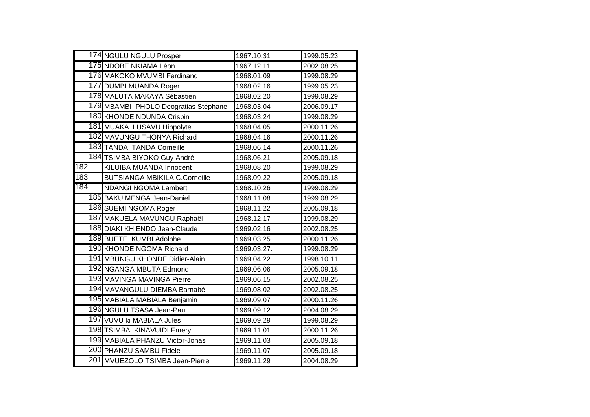|     | 174 NGULU NGULU Prosper              | 1967.10.31  | 1999.05.23 |
|-----|--------------------------------------|-------------|------------|
|     | 175 NDOBE NKIAMA Léon                | 1967.12.11  | 2002.08.25 |
|     | 176 MAKOKO MVUMBI Ferdinand          | 1968.01.09  | 1999.08.29 |
|     | 177 DUMBI MUANDA Roger               | 1968.02.16  | 1999.05.23 |
|     | 178 MALUTA MAKAYA Sébastien          | 1968.02.20  | 1999.08.29 |
|     | 179 MBAMBI PHOLO Deogratias Stéphane | 1968.03.04  | 2006.09.17 |
|     | 180 KHONDE NDUNDA Crispin            | 1968.03.24  | 1999.08.29 |
|     | 181 MUAKA LUSAVU Hippolyte           | 1968.04.05  | 2000.11.26 |
|     | 182 MAVUNGU THONYA Richard           | 1968.04.16  | 2000.11.26 |
|     | 183 TANDA TANDA Corneille            | 1968.06.14  | 2000.11.26 |
|     | 184 TSIMBA BIYOKO Guy-André          | 1968.06.21  | 2005.09.18 |
| 182 | <b>KILUIBA MUANDA Innocent</b>       | 1968.08.20  | 1999.08.29 |
| 183 | <b>BUTSIANGA MBIKILA C.Corneille</b> | 1968.09.22  | 2005.09.18 |
| 184 | <b>NDANGI NGOMA Lambert</b>          | 1968.10.26  | 1999.08.29 |
|     | 185 BAKU MENGA Jean-Daniel           | 1968.11.08  | 1999.08.29 |
|     | 186 SUEMI NGOMA Roger                | 1968.11.22  | 2005.09.18 |
|     | 187 MAKUELA MAVUNGU Raphaël          | 1968.12.17  | 1999.08.29 |
|     | 188 DIAKI KHIENDO Jean-Claude        | 1969.02.16  | 2002.08.25 |
|     | 189 BUETE KUMBI Adolphe              | 1969.03.25  | 2000.11.26 |
|     | 190 KHONDE NGOMA Richard             | 1969.03.27. | 1999.08.29 |
|     | 191 MBUNGU KHONDE Didier-Alain       | 1969.04.22  | 1998.10.11 |
|     | 192 NGANGA MBUTA Edmond              | 1969.06.06  | 2005.09.18 |
|     | 193 MAVINGA MAVINGA Pierre           | 1969.06.15  | 2002.08.25 |
|     | 194 MAVANGULU DIEMBA Barnabé         | 1969.08.02  | 2002.08.25 |
|     | 195 MABIALA MABIALA Benjamin         | 1969.09.07  | 2000.11.26 |
|     | 196 NGULU TSASA Jean-Paul            | 1969.09.12  | 2004.08.29 |
|     | 197 VUVU ki MABIALA Jules            | 1969.09.29  | 1999.08.29 |
|     | 198 TSIMBA KINAVUIDI Emery           | 1969.11.01  | 2000.11.26 |
|     | 199 MABIALA PHANZU Victor-Jonas      | 1969.11.03  | 2005.09.18 |
|     | 200 PHANZU SAMBU Fidèle              | 1969.11.07  | 2005.09.18 |
|     | 201 MVUEZOLO TSIMBA Jean-Pierre      | 1969.11.29  | 2004.08.29 |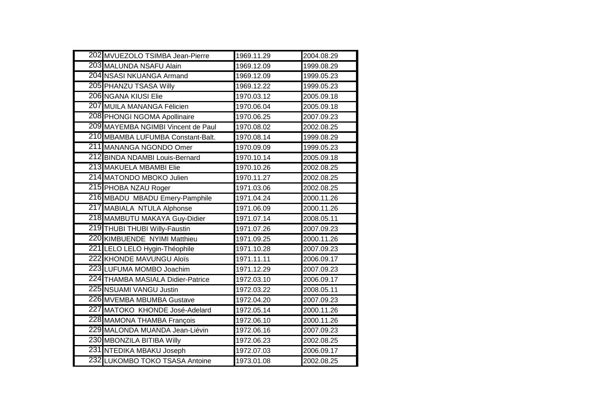| 202 MVUEZOLO TSIMBA Jean-Pierre    | 1969.11.29 | 2004.08.29 |
|------------------------------------|------------|------------|
| 203 MALUNDA NSAFU Alain            | 1969.12.09 | 1999.08.29 |
| 204 NSASI NKUANGA Armand           | 1969.12.09 | 1999.05.23 |
| 205 PHANZU TSASA Willy             | 1969.12.22 | 1999.05.23 |
| 206 NGANA KIUSI Elie               | 1970.03.12 | 2005.09.18 |
| 207 MUILA MANANGA Félicien         | 1970.06.04 | 2005.09.18 |
| 208 PHONGI NGOMA Apollinaire       | 1970.06.25 | 2007.09.23 |
| 209 MAYEMBA NGIMBI Vincent de Paul | 1970.08.02 | 2002.08.25 |
| 210 MBAMBA LUFUMBA Constant-Balt.  | 1970.08.14 | 1999.08.29 |
| 211 MANANGA NGONDO Omer            | 1970.09.09 | 1999.05.23 |
| 212 BINDA NDAMBI Louis-Bernard     | 1970.10.14 | 2005.09.18 |
| 213 MAKUELA MBAMBI Elie            | 1970.10.26 | 2002.08.25 |
| 214 MATONDO MBOKO Julien           | 1970.11.27 | 2002.08.25 |
| 215 PHOBA NZAU Roger               | 1971.03.06 | 2002.08.25 |
| 216 MBADU MBADU Emery-Pamphile     | 1971.04.24 | 2000.11.26 |
| 217 MABIALA NTULA Alphonse         | 1971.06.09 | 2000.11.26 |
| 218 MAMBUTU MAKAYA Guy-Didier      | 1971.07.14 | 2008.05.11 |
| 219 THUBI THUBI Willy-Faustin      | 1971.07.26 | 2007.09.23 |
| 220 KIMBUENDE NYIMI Matthieu       | 1971.09.25 | 2000.11.26 |
| 221 LELO LELO Hygin-Théophile      | 1971.10.28 | 2007.09.23 |
| 222 KHONDE MAVUNGU Aloïs           | 1971.11.11 | 2006.09.17 |
| 223 LUFUMA MOMBO Joachim           | 1971.12.29 | 2007.09.23 |
| 224 THAMBA MASIALA Didier-Patrice  | 1972.03.10 | 2006.09.17 |
| 225 NSUAMI VANGU Justin            | 1972.03.22 | 2008.05.11 |
| 226 MVEMBA MBUMBA Gustave          | 1972.04.20 | 2007.09.23 |
| 227 MATOKO KHONDE José-Adelard     | 1972.05.14 | 2000.11.26 |
| 228 MAMONA THAMBA François         | 1972.06.10 | 2000.11.26 |
| 229 MALONDA MUANDA Jean-Liévin     | 1972.06.16 | 2007.09.23 |
| 230 MBONZILA BITIBA Willy          | 1972.06.23 | 2002.08.25 |
| 231 NTEDIKA MBAKU Joseph           | 1972.07.03 | 2006.09.17 |
| 232 LUKOMBO TOKO TSASA Antoine     | 1973.01.08 | 2002.08.25 |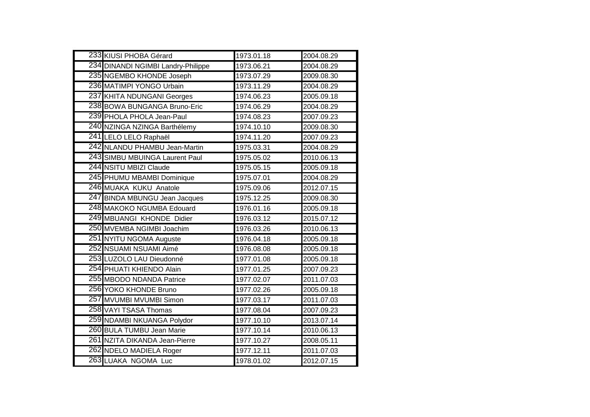| 233 KIUSI PHOBA Gérard             | 1973.01.18 | 2004.08.29 |
|------------------------------------|------------|------------|
| 234 DINANDI NGIMBI Landry-Philippe | 1973.06.21 | 2004.08.29 |
| 235 NGEMBO KHONDE Joseph           | 1973.07.29 | 2009.08.30 |
| 236 MATIMPI YONGO Urbain           | 1973.11.29 | 2004.08.29 |
| 237 KHITA NDUNGANI Georges         | 1974.06.23 | 2005.09.18 |
| 238 BOWA BUNGANGA Bruno-Eric       | 1974.06.29 | 2004.08.29 |
| 239 PHOLA PHOLA Jean-Paul          | 1974.08.23 | 2007.09.23 |
| 240 NZINGA NZINGA Barthélemy       | 1974.10.10 | 2009.08.30 |
| 241 LELO LELO Raphaël              | 1974.11.20 | 2007.09.23 |
| 242 NLANDU PHAMBU Jean-Martin      | 1975.03.31 | 2004.08.29 |
| 243 SIMBU MBUINGA Laurent Paul     | 1975.05.02 | 2010.06.13 |
| 244 NSITU MBIZI Claude             | 1975.05.15 | 2005.09.18 |
| 245 PHUMU MBAMBI Dominique         | 1975.07.01 | 2004.08.29 |
| 246 MUAKA KUKU Anatole             | 1975.09.06 | 2012.07.15 |
| 247 BINDA MBUNGU Jean Jacques      | 1975.12.25 | 2009.08.30 |
| 248 MAKOKO NGUMBA Edouard          | 1976.01.16 | 2005.09.18 |
| 249 MBUANGI KHONDE Didier          | 1976.03.12 | 2015.07.12 |
| 250 MVEMBA NGIMBI Joachim          | 1976.03.26 | 2010.06.13 |
| 251 NYITU NGOMA Auguste            | 1976.04.18 | 2005.09.18 |
| 252 NSUAMI NSUAMI Aimé             | 1976.08.08 | 2005.09.18 |
| 253 LUZOLO LAU Dieudonné           | 1977.01.08 | 2005.09.18 |
| 254 PHUATI KHIENDO Alain           | 1977.01.25 | 2007.09.23 |
| 255 MBODO NDANDA Patrice           | 1977.02.07 | 2011.07.03 |
| 256 YOKO KHONDE Bruno              | 1977.02.26 | 2005.09.18 |
| 257 MVUMBI MVUMBI Simon            | 1977.03.17 | 2011.07.03 |
| 258 VAYI TSASA Thomas              | 1977.08.04 | 2007.09.23 |
| 259 NDAMBI NKUANGA Polydor         | 1977.10.10 | 2013.07.14 |
| 260 BULA TUMBU Jean Marie          | 1977.10.14 | 2010.06.13 |
| 261 NZITA DIKANDA Jean-Pierre      | 1977.10.27 | 2008.05.11 |
| 262 NDELO MADIELA Roger            | 1977.12.11 | 2011.07.03 |
| 263 LUAKA NGOMA Luc                | 1978.01.02 | 2012.07.15 |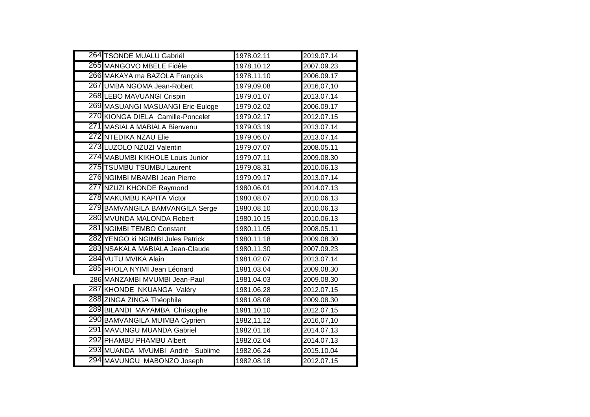| 264 TSONDE MUALU Gabriël          | 1978.02.11 | 2019.07.14 |
|-----------------------------------|------------|------------|
| 265 MANGOVO MBELE Fidèle          | 1978.10.12 | 2007.09.23 |
| 266 MAKAYA ma BAZOLA François     | 1978.11.10 | 2006.09.17 |
| 267 UMBA NGOMA Jean-Robert        | 1979,09,08 | 2016,07,10 |
| 268 LEBO MAVUANGI Crispin         | 1979.01.07 | 2013.07.14 |
| 269 MASUANGI MASUANGI Eric-Euloge | 1979.02.02 | 2006.09.17 |
| 270 KIONGA DIELA Camille-Poncelet | 1979.02.17 | 2012.07.15 |
| 271 MASIALA MABIALA Bienvenu      | 1979.03.19 | 2013.07.14 |
| 272 NTEDIKA NZAU Elie             | 1979.06.07 | 2013.07.14 |
| 273 LUZOLO NZUZI Valentin         | 1979.07.07 | 2008.05.11 |
| 274 MABUMBI KIKHOLE Louis Junior  | 1979.07.11 | 2009.08.30 |
| 275 TSUMBU TSUMBU Laurent         | 1979.08.31 | 2010.06.13 |
| 276 NGIMBI MBAMBI Jean Pierre     | 1979.09.17 | 2013.07.14 |
| 277 NZUZI KHONDE Raymond          | 1980.06.01 | 2014.07.13 |
| 278 MAKUMBU KAPITA Victor         | 1980.08.07 | 2010.06.13 |
| 279 BAMVANGILA BAMVANGILA Serge   | 1980.08.10 | 2010.06.13 |
| 280 MVUNDA MALONDA Robert         | 1980.10.15 | 2010.06.13 |
| 281 NGIMBI TEMBO Constant         | 1980.11.05 | 2008.05.11 |
| 282 YENGO ki NGIMBI Jules Patrick | 1980.11.18 | 2009.08.30 |
| 283 NSAKALA MABIALA Jean-Claude   | 1980.11.30 | 2007.09.23 |
| 284 VUTU MVIKA Alain              | 1981.02.07 | 2013.07.14 |
| 285 PHOLA NYIMI Jean Léonard      | 1981.03.04 | 2009.08.30 |
| 286 MANZAMBI MVUMBI Jean-Paul     | 1981.04.03 | 2009.08.30 |
| 287 KHONDE NKUANGA Valéry         | 1981.06.28 | 2012.07.15 |
| 288 ZINGA ZINGA Théophile         | 1981.08.08 | 2009.08.30 |
| 289 BILANDI MAYAMBA Christophe    | 1981.10.10 | 2012.07.15 |
| 290 BAMVANGILA MUIMBA Cyprien     | 1982,11,12 | 2016,07,10 |
| 291 MAVUNGU MUANDA Gabriel        | 1982.01.16 | 2014.07.13 |
| 292 PHAMBU PHAMBU Albert          | 1982.02.04 | 2014.07.13 |
| 293 MUANDA MVUMBI André - Sublime | 1982.06.24 | 2015.10.04 |
| 294 MAVUNGU MABONZO Joseph        | 1982.08.18 | 2012.07.15 |